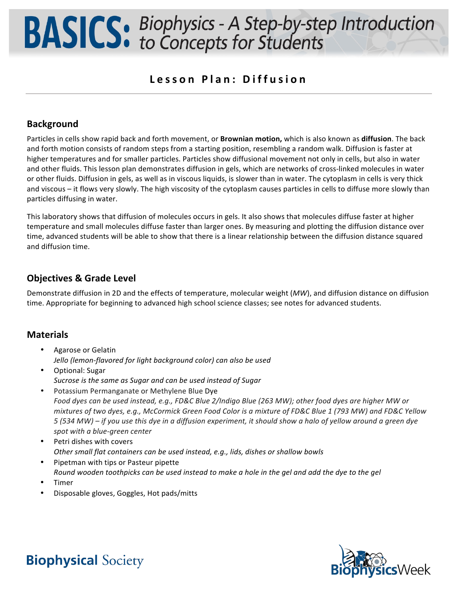### **Lesson Plan : Diffusion**

### **Background**

Particles in cells show rapid back and forth movement, or **Brownian motion,** which is also known as **diffusion**. The back and forth motion consists of random steps from a starting position, resembling a random walk. Diffusion is faster at higher temperatures and for smaller particles. Particles show diffusional movement not only in cells, but also in water and other fluids. This lesson plan demonstrates diffusion in gels, which are networks of cross-linked molecules in water or other fluids. Diffusion in gels, as well as in viscous liquids, is slower than in water. The cytoplasm in cells is very thick and viscous – it flows very slowly. The high viscosity of the cytoplasm causes particles in cells to diffuse more slowly than particles diffusing in water.

This laboratory shows that diffusion of molecules occurs in gels. It also shows that molecules diffuse faster at higher temperature and small molecules diffuse faster than larger ones. By measuring and plotting the diffusion distance over time, advanced students will be able to show that there is a linear relationship between the diffusion distance squared and diffusion time.

### **Objectives & Grade Level**

Demonstrate diffusion in 2D and the effects of temperature, molecular weight (*MW*), and diffusion distance on diffusion time. Appropriate for beginning to advanced high school science classes; see notes for advanced students.

### **Materials**

- Agarose or Gelatin Jello (lemon-flavored for light background color) can also be used
- Optional: Sugar *Sucrose is the same as Sugar and can be used instead of Sugar*
- Potassium Permanganate or Methylene Blue Dye *Food dyes can be used instead, e.g., FD&C Blue 2/Indigo Blue (263 MW); other food dyes are higher MW or mixtures of two dyes, e.g., McCormick Green Food Color is a mixture of FD&C Blue 1 (793 MW) and FD&C Yellow 5* (534 MW) – if you use this dye in a diffusion experiment, it should show a halo of yellow around a green dye spot with a blue-green center
- Petri dishes with covers *Other small flat containers can be used instead, e.g., lids, dishes or shallow bowls*
- Pipetman with tips or Pasteur pipette *Round* wooden toothpicks can be used instead to make a hole in the gel and add the dye to the gel
- Timer
- Disposable gloves, Goggles, Hot pads/mitts

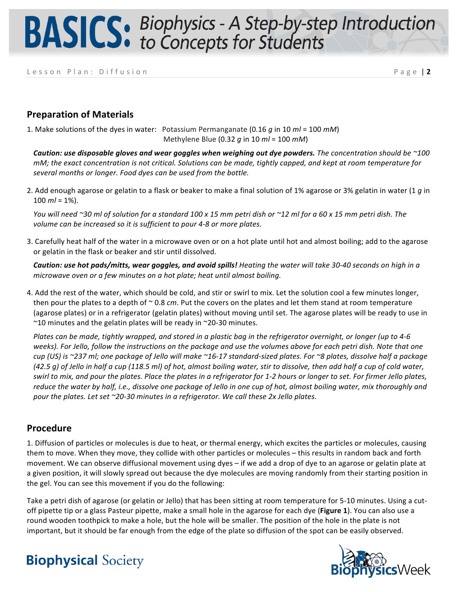Lesson Plan: Diffusion **Page | 2** 

### **Preparation of Materials**

1. Make solutions of the dyes in water: Potassium Permanganate (0.16  $q$  in 10  $ml = 100$   $m$ M) Methylene Blue (0.32 *g* in 10 *ml* = 100 *mM*)

*Caution: use disposable gloves and wear goggles when weighing out dye powders. The concentration should be* $\sim$ **100** *mM;* the exact concentration is not critical. Solutions can be made, tightly capped, and kept at room temperature for several months or longer. Food dyes can be used from the bottle.

2. Add enough agarose or gelatin to a flask or beaker to make a final solution of 1% agarose or 3% gelatin in water  $(1 q \text{ in } 1 q \text{ in } 1 q \text{ in } 1 q \text{ in } 1 q \text{ in } 1 q \text{ in } 1 q \text{ in } 1 q \text{ in } 1 q \text{ in } 1 q \text{ in } 1 q \text{ in } 1 q \text{ in } 1 q \text{ in }$  $100$  *ml* = 1%).

*You* will need ~30 ml of solution for a standard 100 x 15 mm petri dish or ~12 ml for a 60 x 15 mm petri dish. The volume can be increased so it is sufficient to pour 4-8 or more plates.

3. Carefully heat half of the water in a microwave oven or on a hot plate until hot and almost boiling; add to the agarose or gelatin in the flask or beaker and stir until dissolved.

**Caution: use hot pads/mitts, wear goggles, and avoid spills!** Heating the water will take 30-40 seconds on high in a *microwave oven or a few minutes on a hot plate; heat until almost boiling.* 

4. Add the rest of the water, which should be cold, and stir or swirl to mix. Let the solution cool a few minutes longer, then pour the plates to a depth of  $\sim$  0.8 *cm*. Put the covers on the plates and let them stand at room temperature (agarose plates) or in a refrigerator (gelatin plates) without moving until set. The agarose plates will be ready to use in ~10 minutes and the gelatin plates will be ready in ~20-30 minutes.

*Plates can be made, tightly wrapped, and stored in a plastic bag in the refrigerator overnight, or longer (up to 4-6* weeks). For Jello, follow the instructions on the package and use the volumes above for each petri dish. Note that one *cup* (US) is ~237 ml; one package of Jello will make ~16-17 standard-sized plates. For ~8 plates, dissolve half a package *(42.5 q)* of Jello in half a cup (118.5 ml) of hot, almost boiling water, stir to dissolve, then add half a cup of cold water, *swirl* to mix, and pour the plates. Place the plates in a refrigerator for 1-2 hours or longer to set. For firmer Jello plates, *reduce* the water by half, i.e., dissolve one package of Jello in one cup of hot, almost boiling water, mix thoroughly and *pour the plates. Let set* ~20-30 minutes in a refrigerator. We call these 2x Jello plates.

### **Procedure**

1. Diffusion of particles or molecules is due to heat, or thermal energy, which excites the particles or molecules, causing them to move. When they move, they collide with other particles or molecules  $-$  this results in random back and forth movement. We can observe diffusional movement using dyes – if we add a drop of dye to an agarose or gelatin plate at a given position, it will slowly spread out because the dye molecules are moving randomly from their starting position in the gel. You can see this movement if you do the following:

Take a petri dish of agarose (or gelatin or Jello) that has been sitting at room temperature for 5-10 minutes. Using a cutoff pipette tip or a glass Pasteur pipette, make a small hole in the agarose for each dye (**Figure 1**). You can also use a round wooden toothpick to make a hole, but the hole will be smaller. The position of the hole in the plate is not important, but it should be far enough from the edge of the plate so diffusion of the spot can be easily observed.

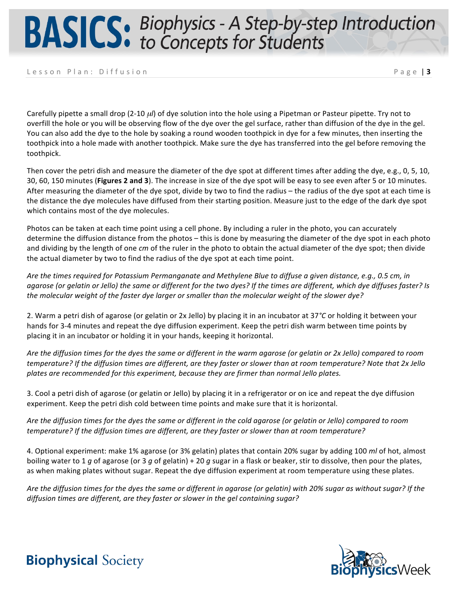Lesson Plan: Diffusion **Page 13** 

Carefully pipette a small drop (2-10 µ*l*) of dye solution into the hole using a Pipetman or Pasteur pipette. Try not to overfill the hole or you will be observing flow of the dye over the gel surface, rather than diffusion of the dye in the gel. You can also add the dye to the hole by soaking a round wooden toothpick in dye for a few minutes, then inserting the toothpick into a hole made with another toothpick. Make sure the dye has transferred into the gel before removing the toothpick.

Then cover the petri dish and measure the diameter of the dye spot at different times after adding the dye, e.g., 0, 5, 10, 30, 60, 150 minutes (Figures 2 and 3). The increase in size of the dye spot will be easy to see even after 5 or 10 minutes. After measuring the diameter of the dye spot, divide by two to find the radius – the radius of the dye spot at each time is the distance the dye molecules have diffused from their starting position. Measure just to the edge of the dark dye spot which contains most of the dye molecules.

Photos can be taken at each time point using a cell phone. By including a ruler in the photo, you can accurately determine the diffusion distance from the photos – this is done by measuring the diameter of the dye spot in each photo and dividing by the length of one *cm* of the ruler in the photo to obtain the actual diameter of the dye spot; then divide the actual diameter by two to find the radius of the dye spot at each time point.

Are the times required for Potassium Permanganate and Methylene Blue to diffuse a given distance, e.g., 0.5 cm, in agarose (or gelatin or Jello) the same or different for the two dyes? If the times are different, which dye diffuses faster? Is the molecular weight of the faster dye larger or smaller than the molecular weight of the slower dye?

2. Warm a petri dish of agarose (or gelatin or 2x Jello) by placing it in an incubator at 37°C or holding it between your hands for 3-4 minutes and repeat the dye diffusion experiment. Keep the petri dish warm between time points by placing it in an incubator or holding it in your hands, keeping it horizontal.

Are the diffusion times for the dyes the same or different in the warm agarose (or gelatin or 2x Jello) compared to room *temperature?* If the diffusion times are different, are they faster or slower than at room temperature? Note that 2x Jello plates are recommended for this experiment, because they are firmer than normal Jello plates.

3. Cool a petri dish of agarose (or gelatin or Jello) by placing it in a refrigerator or on ice and repeat the dye diffusion experiment. Keep the petri dish cold between time points and make sure that it is horizontal.

*Are the diffusion times for the dyes the same or different in the cold agarose (or gelatin or Jello) compared to room temperature?* If the diffusion times are different, are they faster or slower than at room temperature?

4. Optional experiment: make 1% agarose (or 3% gelatin) plates that contain 20% sugar by adding 100 *ml* of hot, almost boiling water to 1 *g* of agarose (or 3 *g* of gelatin) + 20 *g* sugar in a flask or beaker, stir to dissolve, then pour the plates, as when making plates without sugar. Repeat the dye diffusion experiment at room temperature using these plates.

Are the diffusion times for the dyes the same or different in agarose (or gelatin) with 20% sugar as without sugar? If the *diffusion times are different, are they faster or slower in the gel containing sugar?*

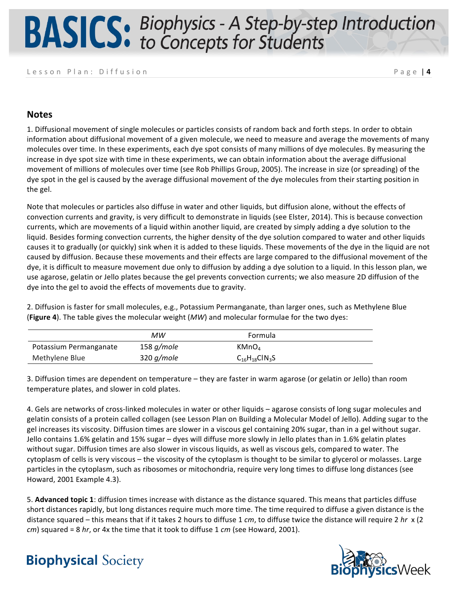#### Lesson Plan: Diffusion **Page | 4**

#### **Notes**

1. Diffusional movement of single molecules or particles consists of random back and forth steps. In order to obtain information about diffusional movement of a given molecule, we need to measure and average the movements of many molecules over time. In these experiments, each dye spot consists of many millions of dye molecules. By measuring the increase in dye spot size with time in these experiments, we can obtain information about the average diffusional movement of millions of molecules over time (see Rob Phillips Group, 2005). The increase in size (or spreading) of the dye spot in the gel is caused by the average diffusional movement of the dye molecules from their starting position in the gel.

Note that molecules or particles also diffuse in water and other liquids, but diffusion alone, without the effects of convection currents and gravity, is very difficult to demonstrate in liquids (see Elster, 2014). This is because convection currents, which are movements of a liquid within another liquid, are created by simply adding a dye solution to the liquid. Besides forming convection currents, the higher density of the dye solution compared to water and other liquids causes it to gradually (or quickly) sink when it is added to these liquids. These movements of the dye in the liquid are not caused by diffusion. Because these movements and their effects are large compared to the diffusional movement of the dye, it is difficult to measure movement due only to diffusion by adding a dye solution to a liquid. In this lesson plan, we use agarose, gelatin or Jello plates because the gel prevents convection currents; we also measure 2D diffusion of the dye into the gel to avoid the effects of movements due to gravity.

2. Diffusion is faster for small molecules, e.g., Potassium Permanganate, than larger ones, such as Methylene Blue **(Figure 4)**. The table gives the molecular weight (*MW*) and molecular formulae for the two dyes:

|                        | МW            | Formula              |  |
|------------------------|---------------|----------------------|--|
| Potassium Permanganate | 158 g/mole    | KMnO <sub>4</sub>    |  |
| Methylene Blue         | 320 $q/m$ ole | $C_{16}H_{18}C1N_3S$ |  |

3. Diffusion times are dependent on temperature – they are faster in warm agarose (or gelatin or Jello) than room temperature plates, and slower in cold plates.

4. Gels are networks of cross-linked molecules in water or other liquids – agarose consists of long sugar molecules and gelatin consists of a protein called collagen (see Lesson Plan on Building a Molecular Model of Jello). Adding sugar to the gel increases its viscosity. Diffusion times are slower in a viscous gel containing 20% sugar, than in a gel without sugar. Jello contains 1.6% gelatin and 15% sugar – dyes will diffuse more slowly in Jello plates than in 1.6% gelatin plates without sugar. Diffusion times are also slower in viscous liquids, as well as viscous gels, compared to water. The cytoplasm of cells is very viscous – the viscosity of the cytoplasm is thought to be similar to glycerol or molasses. Large particles in the cytoplasm, such as ribosomes or mitochondria, require very long times to diffuse long distances (see Howard, 2001 Example 4.3).

5. **Advanced topic 1**: diffusion times increase with distance as the distance squared. This means that particles diffuse short distances rapidly, but long distances require much more time. The time required to diffuse a given distance is the distance squared – this means that if it takes 2 hours to diffuse 1 *cm*, to diffuse twice the distance will require 2 hr x (2) *cm*) squared = 8 hr, or 4x the time that it took to diffuse 1 *cm* (see Howard, 2001).

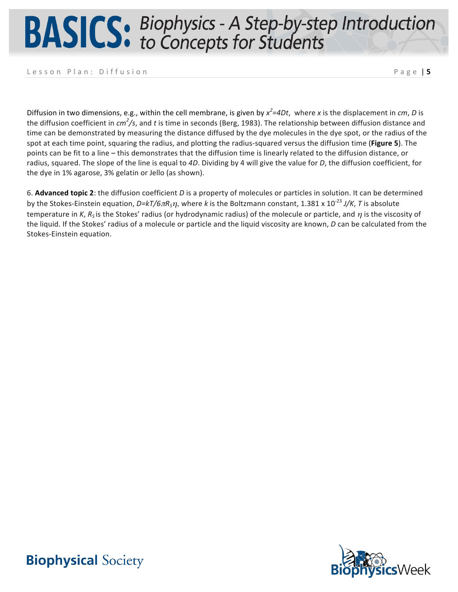Lesson Plan: Diffusion **Page 15** 

Diffusion in two dimensions, e.g., within the cell membrane, is given by  $x^2$ =4Dt, where x is the displacement in *cm*, D is the diffusion coefficient in *cm<sup>2</sup>/s*, and t is time in seconds (Berg, 1983). The relationship between diffusion distance and time can be demonstrated by measuring the distance diffused by the dye molecules in the dye spot, or the radius of the spot at each time point, squaring the radius, and plotting the radius-squared versus the diffusion time (Figure 5). The points can be fit to a line – this demonstrates that the diffusion time is linearly related to the diffusion distance, or radius, squared. The slope of the line is equal to 4D. Dividing by 4 will give the value for D, the diffusion coefficient, for the dye in 1% agarose, 3% gelatin or Jello (as shown).

6. Advanced topic 2: the diffusion coefficient *D* is a property of molecules or particles in solution. It can be determined by the Stokes-Einstein equation, *D=kT/6πR<sub>S</sub>η*, where *k* is the Boltzmann constant, 1.381 x 10<sup>-23</sup> J/K, *T* is absolute temperature in *K*,  $R_5$  is the Stokes' radius (or hydrodynamic radius) of the molecule or particle, and  $\eta$  is the viscosity of the liquid. If the Stokes' radius of a molecule or particle and the liquid viscosity are known, *D* can be calculated from the Stokes-Einstein equation.

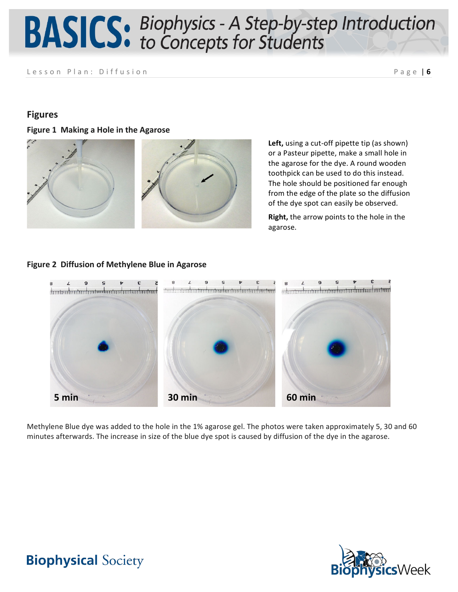Lesson Plan: Diffusion **Page 16** 

### **Figures**

**Figure 1 Making a Hole in the Agarose** 



Left, using a cut-off pipette tip (as shown) or a Pasteur pipette, make a small hole in the agarose for the dye. A round wooden toothpick can be used to do this instead. The hole should be positioned far enough from the edge of the plate so the diffusion of the dye spot can easily be observed.

**Right,** the arrow points to the hole in the agarose.

#### **Figure 2 Diffusion of Methylene Blue in Agarose**



Methylene Blue dye was added to the hole in the 1% agarose gel. The photos were taken approximately 5, 30 and 60 minutes afterwards. The increase in size of the blue dye spot is caused by diffusion of the dye in the agarose.

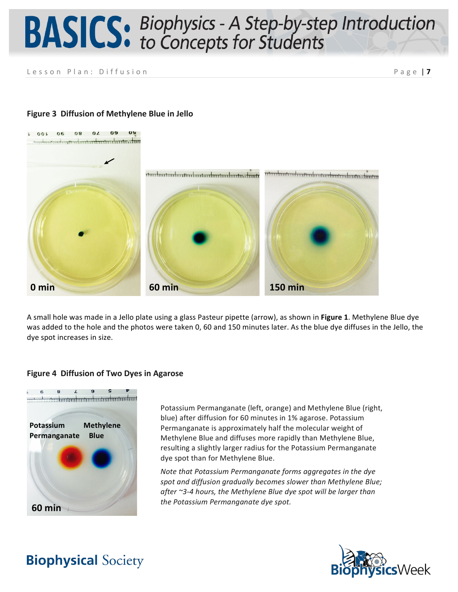Lesson Plan: Diffusion **Page | 7** 



#### **Figure 3 Diffusion of Methylene Blue in Jello**

A small hole was made in a Jello plate using a glass Pasteur pipette (arrow), as shown in **Figure 1**. Methylene Blue dye was added to the hole and the photos were taken 0, 60 and 150 minutes later. As the blue dye diffuses in the Jello, the dye spot increases in size.

#### **Figure 4 Diffusion of Two Dyes in Agarose**



Potassium Permanganate (left, orange) and Methylene Blue (right, blue) after diffusion for 60 minutes in 1% agarose. Potassium Permanganate is approximately half the molecular weight of Methylene Blue and diffuses more rapidly than Methylene Blue, resulting a slightly larger radius for the Potassium Permanganate dye spot than for Methylene Blue.

*Note that Potassium Permanganate forms aggregates in the dye spot and diffusion gradually becomes slower than Methylene Blue; after ~3-4 hours, the Methylene Blue dye spot will be larger than*  the Potassium Permanganate dye spot.

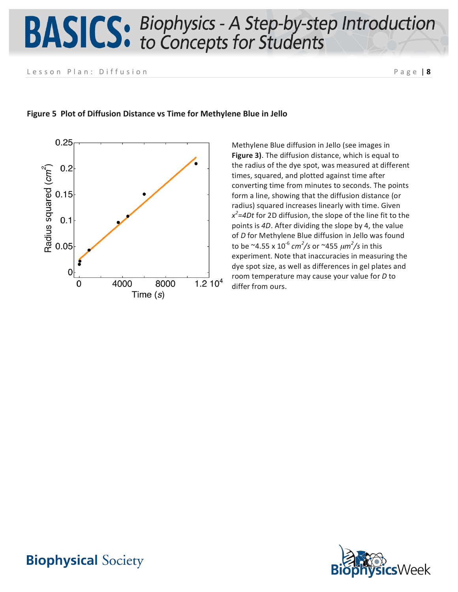Lesson Plan: Diffusion **Page | 8** 



#### **Figure 5 Plot of Diffusion Distance vs Time for Methylene Blue in Jello**

Methylene Blue diffusion in Jello (see images in **Figure 3)**. The diffusion distance, which is equal to the radius of the dye spot, was measured at different times, squared, and plotted against time after converting time from minutes to seconds. The points form a line, showing that the diffusion distance (or radius) squared increases linearly with time. Given  $x^2$ =4Dt for 2D diffusion, the slope of the line fit to the points is 4D. After dividing the slope by 4, the value of *D* for Methylene Blue diffusion in Jello was found to be ~4.55 x 10<sup>-6</sup> cm<sup>2</sup>/s or ~455  $\mu$ m<sup>2</sup>/s in this experiment. Note that inaccuracies in measuring the dye spot size, as well as differences in gel plates and room temperature may cause your value for *D* to differ from ours.